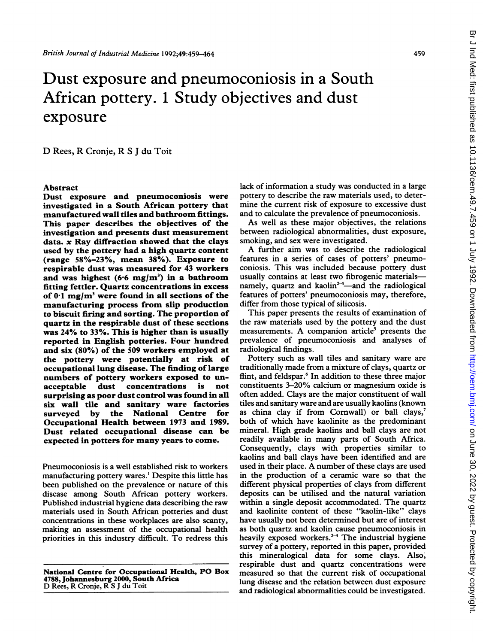# Dust exposure and pneumoconiosis in a South African pottery. <sup>1</sup> Study objectives and dust exposure

D Rees, R Cronje, R <sup>S</sup> <sup>J</sup> du Toit

#### Abstract

Dust exposure and pneumoconiosis were investigated in a South African pottery that manufactured wall tiles and bathroom fittings. This paper describes the objectives of the investigation and presents dust measurement data.  $x$  Ray diffraction showed that the clays used by the pottery had a high quartz content (range 58%-23%, mean 38%). Exposure to respirable dust was measured for 43 workers and was highest  $(6.6 \text{ mg/m}^3)$  in a bathroom fitting fettler. Quartz concentrations in excess of  $0.1 \text{ mg/m}^3$  were found in all sections of the manufacturing process from slip production to biscuit firing and sorting. The proportion of quartz in the respirable dust of these sections was 24% to 33%. This is higher than is usually reported in English potteries. Four hundred and six (80%) of the 509 workers employed at the pottery were potentially at risk of occupational lung disease. The finding of large numbers of pottery workers exposed to unacceptable dust concentrations is not surprising as poor dust control was found in all six wall tile and sanitary ware factories surveyed by the National Centre for Occupational Health between 1973 and 1989. Dust related occupational disease can be expected in potters for many years to come.

Pneumoconiosis is a well established risk to workers manufacturing pottery wares.' Despite this little has been published on the prevalence or nature of this disease among South African pottery workers. Published industrial hygiene data describing the raw materials used in South African potteries and dust concentrations in these workplaces are also scanty, making an assessment of the occupational health priorities in this industry difficult. To redress this

National Centre for Occupational Health, PO Box 4788, Johannesburg 2000, South Africa D Rees, R Cronje, R <sup>S</sup> <sup>J</sup> du Toit

lack of information a study was conducted in a large pottery to describe the raw materials used, to determine the current risk of exposure to excessive dust and to calculate the prevalence of pneumoconiosis.

As well as these major objectives, the relations between radiological abnormalities, dust exposure, smoking, and sex were investigated.

A further aim was to describe the radiological features in a series of cases of potters' pneumoconiosis. This was included because pottery dust usually contains at least two fibrogenic materialsnamely, quartz and kaolin<sup>2-4</sup>-and the radiological features of potters' pneumoconiosis may, therefore, differ from those typical of silicosis.

This paper presents the results of examination of the raw materials used by the pottery and the dust measurements. A companion article' presents the prevalence of pneumoconiosis and analyses of radiological findings.

Pottery such as wall tiles and sanitary ware are traditionally made from a mixture of clays, quartz or flint, and feldspar.<sup>6</sup> In addition to these three major constituents 3-20% calcium or magnesium oxide is often added. Clays are the major constituent of wall tiles and sanitary ware and are usually kaolins (known as china clay if from Cornwall) or ball clays, $7$ both of which have kaolinite as the predominant mineral. High grade kaolins and ball clays are not readily available in many parts of South Africa. Consequently, clays with properties similar to kaolins and ball clays have been identified and are used in their place. A number of these clays are used in the production of a ceramic ware so that the different physical properties of clays from different deposits can be utilised and the natural variation within a single deposit accommodated. The quartz and kaolinite content of these "kaolin-like" clays have usually not been determined but are of interest as both quartz and kaolin cause pneumoconiosis in heavily exposed workers.<sup>2-4</sup> The industrial hygiene survey of a pottery, reported in this paper, provided this mineralogical data for some clays. Also, respirable dust and quartz concentrations were measured so that the current risk of occupational lung disease and the relation between dust exposure and radiological abnormalities could be investigated.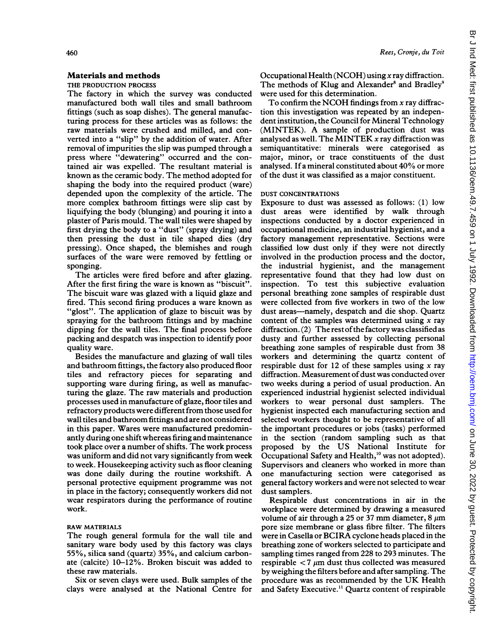## Materials and methods

THE PRODUCTION PROCESS

The factory in which the survey was conducted manufactured both wall tiles and small bathroom fittings (such as soap dishes). The general manufacturing process for these articles was as follows: the raw materials were crushed and milled, and converted into a "slip" by the addition of water. After removal of impurities the slip was pumped through a press where "dewatering" occurred and the contained air was expelled. The resultant material is known as the ceramic body. The method adopted for shaping the body into the required product (ware) depended upon the complexity of the article. The more complex bathroom fittings were slip cast by liquifying the body (blunging) and pouring it into a plaster of Paris mould. The wall tiles were shaped by first drying the body to a "dust" (spray drying) and then pressing the dust in tile shaped dies (dry pressing). Once shaped, the blemishes and rough surfaces of the ware were removed by fettling or sponging.

The articles were fired before and after glazing. After the first firing the ware is known as "biscuit". The biscuit ware was glazed with a liquid glaze and fired. This second firing produces a ware known as "glost". The application of glaze to biscuit was by spraying for the bathroom fittings and by machine dipping for the wall tiles. The final process before packing and despatch was inspection to identify poor quality ware.

Besides the manufacture and glazing of wall tiles and bathroom fittings, the factory also produced floor tiles and refractory pieces for separating and supporting ware during firing, as well as manufacturing the glaze. The raw materials and production processes used in manufacture of glaze, floor tiles and refractory products were different from those used for wall tiles and bathroom fittings and are not considered in this paper. Wares were manufactured predominantly during one shift whereas firing and maintenance took place over <sup>a</sup> number of shifts. The work process was uniform and did not vary significantly from week to week. Housekeeping activity such as floor cleaning was done daily during the routine workshift. A personal protective equipment programme was not in place in the factory; consequently workers did not wear respirators during the performance of routine work.

## RAW MATERIALS

The rough general formula for the wall tile and sanitary ware body used by this factory was clays 55%, silica sand (quartz) 35%, and calcium carbonate (calcite) 10-12%. Broken biscuit was added to these raw materials.

Six or seven clays were used. Bulk samples of the clays were analysed at the National Centre for Occupational Health (NCOH) using  $x$  ray diffraction. The methods of Klug and Alexander<sup>8</sup> and Bradley<sup>9</sup> were used for this determination.

To confirm the NCOH findings from  $x$  ray diffraction this investigation was repeated by an independent institution, the Council for Mineral Technology (MINTEK). A sample of production dust was analysed as well. The MINTEK  $x$  ray diffraction was semiquantitative: minerals were categorised as major, minor, or trace constituents of the dust analysed. If <sup>a</sup> mineral constituted about 40% or more of the dust it was classified as a major constituent.

## DUST CONCENTRATIONS

Exposure to dust was assessed as follows: (1) low dust areas were identified by walk through inspections conducted by a doctor experienced in occupational medicine, an industrial hygienist, and a factory management representative. Sections were classified low dust only if they were not directly involved in the production process and the doctor, the industrial hygienist, and the management representative found that they had low dust on inspection. To test this subjective evaluation personal breathing zone samples of respirable dust were collected from five workers in two of the low dust areas-namely, despatch and die shop. Quartz content of the samples was determined using  $x$  ray diffraction.  $(2)$  The rest of the factory was classified as dusty and further assessed by collecting personal breathing zone samples of respirable dust from 38 workers and determining the quartz content of respirable dust for 12 of these samples using  $x$  ray diffraction. Measurement of dust was conducted over two weeks during <sup>a</sup> period of usual production. An experienced industrial hygienist selected individual workers to wear personal dust samplers. The hygienist inspected each manufacturing section and selected workers thought to be representative of all the important procedures or jobs (tasks) performed in the section (random sampling such as that proposed by the US National Institute for Occupational Safety and Health,<sup>10</sup> was not adopted). Supervisors and cleaners who worked in more than one manufacturing section were categorised as general factory workers and were not selected to wear dust samplers.

Respirable dust concentrations in air in the workplace were determined by drawing a measured volume of air through a 25 or 37 mm diameter, 8  $\mu$ m pore size membrane or glass fibre filter. The filters were in Casella or BCIRA cyclone heads placed in the breathing zone of workers selected to participate and sampling times ranged from 228 to 293 minutes. The respirable  $\langle 7 \mu m \rangle$  dust thus collected was measured by weighing the filters before and after sampling. The procedure was as recommended by the UK Health and Safety Executive.<sup>11</sup> Quartz content of respirable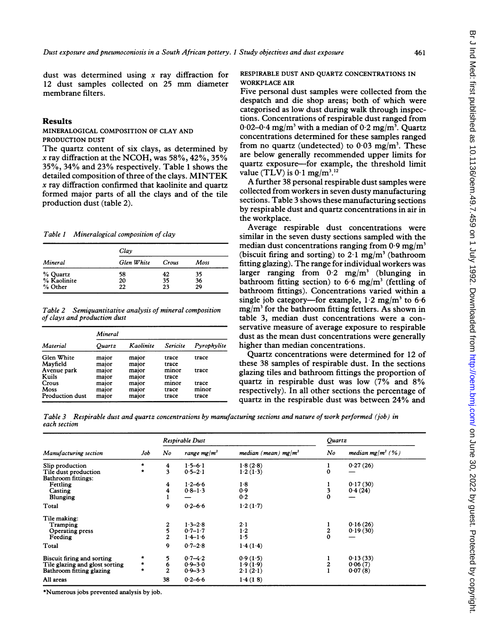dust was determined using  $x$  ray diffraction for <sup>12</sup> dust samples collected on <sup>25</sup> mm diameter membrane filters.

## Results

MINERALOGICAL COMPOSITION OF CLAY AND PRODUCTION DUST

The quartz content of six clays, as determined by x ray diffraction at the NCOH, was  $58\%, 42\%, 35\%$ 35%, 34% and 23% respectively. Table <sup>1</sup> shows the detailed composition of three of the clays. MINTEK x ray diffraction confirmed that kaolinite and quartz formed major parts of all the clays and of the tile production dust (table 2).

Table I Mineralogical composition of clay

|             | Clay       |       |      |  |
|-------------|------------|-------|------|--|
| Mineral     | Glen White | Crous | Moss |  |
| % Quartz    | 58         | 42    | 35   |  |
| % Kaolinite | 20         | 35    | 36   |  |
| % Other     | 22         | 23    | 29   |  |

Table 2 Semiquantitative analysis of mineral composition of clays and production dust

| Material        | Mineral |           |          |             |  |  |  |
|-----------------|---------|-----------|----------|-------------|--|--|--|
|                 | Ouartz  | Kaolinite | Sericite | Pyrophylite |  |  |  |
| Glen White      | major   | maior     | trace    | trace       |  |  |  |
| Mavfield        | major   | major     | trace    |             |  |  |  |
| Avenue park     | major   | major     | minor    | trace       |  |  |  |
| Kuils           | major   | major     | trace    |             |  |  |  |
| Crous           | major   | major     | minor    | trace       |  |  |  |
| Moss            | major   | major     | trace    | minor       |  |  |  |
| Production dust | major   | major     | trace    | trace       |  |  |  |

## RESPIRABLE DUST AND QUARTZ CONCENTRATIONS IN WORKPLACE AIR

Five personal dust samples were collected from the despatch and die shop areas; both of which were categorised as low dust during walk through inspections. Concentrations of respirable dust ranged from  $0.02-0.4$  mg/m<sup>3</sup> with a median of  $0.2$  mg/m<sup>3</sup>. Quartz concentrations determined for these samples ranged from no quartz (undetected) to  $0.03 \text{ mg/m}^3$ . These are below generally recommended upper limits for quartz exposure-for example, the threshold limit value (TLV) is  $0.1 \text{ mg/m}^{3.12}$ 

A further <sup>38</sup> personal respirable dust samples were collected from workers in seven dusty manufacturing sections. Table 3 shows these manufacturing sections by respirable dust and quartz concentrations in air in the workplace.

Average respirable dust concentrations were similar in the seven dusty sections sampled with the median dust concentrations ranging from  $0.9 \text{ mg/m}^3$ (biscuit firing and sorting) to  $2 \cdot 1$  mg/m<sup>3</sup> (bathroom fitting glazing). The range for individual workers was larger ranging from  $0.2 \text{ mg/m}^3$  (blunging in bathroom fitting section) to 6.6 mg/m<sup>3</sup> (fettling of bathroom fittings). Concentrations varied within a single job category—for example,  $1.2 \text{ mg/m}^3$  to 6.6  $mg/m<sup>3</sup>$  for the bathroom fitting fettlers. As shown in table 3, median dust concentrations were a conservative measure of average exposure to respirable dust as the mean dust concentrations were generally higher than median concentrations.

Quartz concentrations were determined for 12 of these 38 samples of respirable dust. In the sections glazing tiles and bathroom fittings the proportion of quartz in respirable dust was low (7% and 8% respectively). In all other sections the percentage of quartz in the respirable dust was between 24% and

Table 3 Respirable dust and quartz concentrations by manufacturing sections and nature of work performed (job) in each section

|                                                                                          |              | Respirable Dust                  |                                           |                                  | Quartz                     |                                |
|------------------------------------------------------------------------------------------|--------------|----------------------------------|-------------------------------------------|----------------------------------|----------------------------|--------------------------------|
| Manufacturing section                                                                    | Job          | No                               | range mg/ $m3$                            | median (mean) mg/m <sup>3</sup>  | No                         | median mg/m <sup>3</sup> (%)   |
| Slip production<br>Tile dust production<br>Bathroom fittings:                            | $\star$<br>* | 4<br>3                           | $1.5 - 6.1$<br>$0.5 - 2.1$                | 1.8(2.8)<br>1.2(1.3)             | 1<br>$\bf{0}$              | 0.27(26)                       |
| Fettling<br>Casting<br>Blunging                                                          |              | 4<br>4                           | $1.2 - 6.6$<br>$0.8 - 1.3$                | 1.8<br>0.9<br>0.2                | 3<br>$\bf{0}$              | 0.17(30)<br>0.4(24)            |
| Total                                                                                    |              | 9                                | $0.2 - 6.6$                               | 1.2(1.7)                         |                            |                                |
| Tile making:<br>Tramping<br>Operating press<br>Feeding                                   |              | 2<br>$\bar{5}$<br>$\overline{2}$ | $1.3 - 2.8$<br>$0.7 - 1.7$<br>$1.4 - 1.6$ | $2 - 1$<br>$1-2$<br>1.5          | $\overline{c}$<br>$\bf{0}$ | 0.16(26)<br>0.19(30)           |
| Total                                                                                    |              | 9                                | $0.7 - 2.8$                               | 1.4(1.4)                         |                            |                                |
| Biscuit firing and sorting<br>Tile glazing and glost sorting<br>Bathroom fitting glazing | *<br>*<br>۰  | 5.<br>6<br>$\overline{a}$        | $0.7 - 4.2$<br>$0.9 - 3.0$<br>$0.9 - 3.3$ | 0.9(1.5)<br>1.9(1.9)<br>2.1(2.1) | 2                          | 0.13(33)<br>0.06(7)<br>0.07(8) |
| All areas                                                                                |              | 38                               | $0.2 - 6.6$                               | 1.4(18)                          |                            |                                |

\*Numerous jobs prevented analysis by job.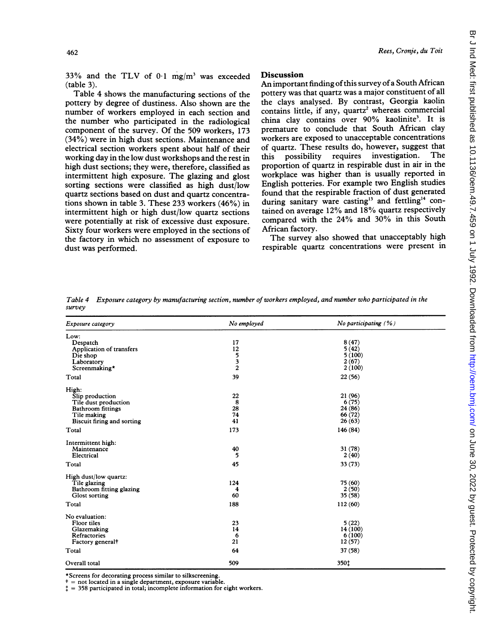33% and the TLV of  $0.1 \text{ mg/m}^3$  was exceeded (table 3).

Table 4 shows the manufacturing sections of the pottery by degree of dustiness. Also shown are the number of workers employed in each section and the number who participated in the radiological component of the survey. Of the 509 workers, 173 (34%) were in high dust sections. Maintenance and electrical section workers spent about half of their working day in the low dust workshops and the rest in high dust sections; they were, therefore, classified as intermittent high exposure. The glazing and glost sorting sections were classified as high dust/low quartz sections based on dust and quartz concentrations shown in table 3. These 233 workers (46%) in intermittent high or high dust/low quartz sections were potentially at risk of excessive dust exposure. Sixty four workers were employed in the sections of the factory in which no assessment of exposure to dust was performed.

## **Discussion**

An important finding of this survey of a South African pottery was that quartz was a major constituent of all the clays analysed. By contrast, Georgia kaolin contains little, if any, quartz<sup>2</sup> whereas commercial china clay contains over 90% kaolinite<sup>3</sup>. It is premature to conclude that South African clay workers are exposed to unacceptable concentrations of quartz. These results do, however, suggest that<br>this possibility requires investigation. The this possibility requires investigation. proportion of quartz in respirable dust in air in the workplace was higher than is usually reported in English potteries. For example two English studies found that the respirable fraction of dust generated during sanitary ware casting<sup>13</sup> and fettling<sup>14</sup> contained on average 12% and 18% quartz respectively compared with the 24% and 30% in this South African factory.

The survey also showed that unacceptably high respirable quartz concentrations were present in

| Exposure category                                                                                                         | No employed                          | No participating $(% )$                          |
|---------------------------------------------------------------------------------------------------------------------------|--------------------------------------|--------------------------------------------------|
| Low:<br>Despatch<br>Application of transfers<br>Die shop<br>Laboratory<br>Screenmaking*                                   | 17<br>12<br>5<br>3<br>$\overline{c}$ | 8(47)<br>5(42)<br>5(100)<br>2(67)<br>2(100)      |
| Total                                                                                                                     | 39                                   | 22(56)                                           |
| High:<br>Slip production<br>Tile dust production<br><b>Bathroom</b> fittings<br>Tile making<br>Biscuit firing and sorting | 22<br>8<br>28<br>74<br>41            | 21 (96)<br>6(75)<br>24 (86)<br>66 (72)<br>26(63) |
| Total                                                                                                                     | 173                                  | 146 (84)                                         |
| Intermittent high:<br>Maintenance<br>Electrical<br>Total                                                                  | 40<br>5<br>45                        | 31(78)<br>2(40)<br>33 (73)                       |
| High dust/low quartz:<br>Tile glazing<br>Bathroom fitting glazing<br>Glost sorting<br>Total                               | 124<br>4<br>60<br>188                | 75 (60)<br>2(50)<br>35 (58)<br>112 (60)          |
| No evaluation:<br>Floor tiles<br>Glazemaking<br>Refractories<br>Factory general <sup>†</sup><br>Total                     | 23<br>14<br>6<br>21<br>64            | 5(22)<br>14 (100)<br>6(100)<br>12(57)<br>37 (58) |
| Overall total                                                                                                             | 509                                  | 350t                                             |

Table 4 Exposure category by manufacturing section, number of workers employed, and number who participated in the survey

\*Screens for decorating process similar to silkscreening. <sup>t</sup> = not located in <sup>a</sup> single department, exposure variable.

 $\ddagger$  = 358 participated in total; incomplete information for eight workers.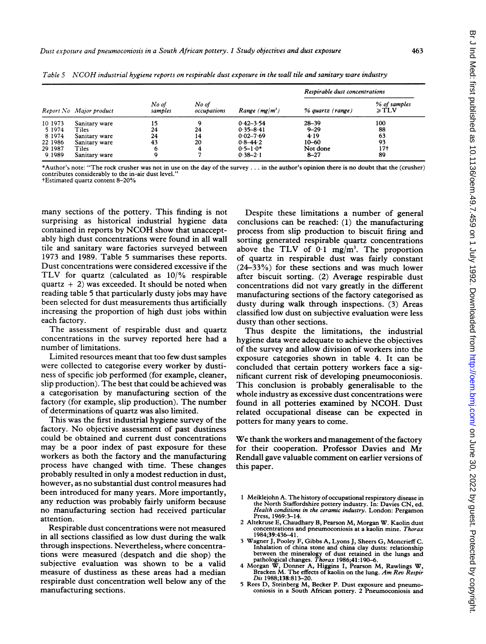| Report No Major product |               |                  | No of<br>occupations | Range $(mg/m^3)$ | Respirable dust concentrations |                            |
|-------------------------|---------------|------------------|----------------------|------------------|--------------------------------|----------------------------|
|                         |               | No of<br>samples |                      |                  | % quartz (range)               | % of samples<br>$\geq TLV$ |
| 10 1973                 | Sanitary ware | 15               |                      | $0.42 - 3.54$    | $28 - 39$                      | 100                        |
| 5 1974                  | Tiles         | 24               | 24                   | $0.35 - 8.41$    | $9 - 29$                       | 88                         |
| 8 1974                  | Sanitary ware | 24               | 14                   | $0.02 - 7.69$    | 4.19                           | 63                         |
| 22 1986                 | Sanitary ware | 43               | 20                   | $0.8 - 44.2$     | $10 - 60$                      | 93                         |
| 29 1987                 | Tiles         | 6                | 4                    | $0.5 - 1.0*$     | Not done                       | 17†                        |
| 9:1989                  | Sanitary ware | 9                |                      | $0.38 - 2.1$     | $8 - 27$                       | 89                         |

Table <sup>5</sup> NCOH industrial hygiene reports on respirable dust exposure in the wall tile and sanitary ware industry

\*Author's note: "The rock crusher was not in use on the day of the survey ... in the author's opinion there is no doubt that the (crusher) contributes considerably to the in-air dust level.

tEstimated quartz content 8-20%

many sections of the pottery. This finding is not surprising as historical industrial hygiene data contained in reports by NCOH show that unacceptably high dust concentrations were found in all wall tile and sanitary ware factories surveyed between 1973 and 1989. Table 5 summarises these reports. Dust concentrations were considered excessive if the TLV for quartz (calculated as 10/% respirable quartz  $+ 2$ ) was exceeded. It should be noted when reading table <sup>5</sup> that particularly dusty jobs may have been selected for dust measurements thus artificially increasing the proportion of high dust jobs within each factory.

The assessment of respirable dust and quartz concentrations in the survey reported here had a number of limitations.

Limited resources meant that too few dust samples were collected to categorise every worker by dustiness of specific job performed (for example, cleaner, slip production). The best that could be achieved was a categorisation by manufacturing section of the factory (for example, slip production). The number of determinations of quartz was also limited.

This was the first industrial hygiene survey of the factory. No objective assessment of past dustiness could be obtained and current dust concentrations may be <sup>a</sup> poor index of past exposure for these workers as both the factory and the manufacturing process have changed with time. These changes probably resulted in only a modest reduction in dust, however, as no substantial dust control measures had been introduced for many years. More importantly, any reduction was probably fairly uniform because no manufacturing section had received particular attention.

Respirable dust concentrations were not measured in all sections classified as low dust during the walk through inspections. Nevertheless, where concentrations were measured (despatch and die shop) the subjective evaluation was shown to be a valid measure of dustiness as these areas had a median respirable dust concentration well below any of the manufacturing sections.

Despite these limitations a number of general conclusions can be reached: (1) the manufacturing process from slip production to biscuit firing and sorting generated respirable quartz concentrations above the TLV of  $0.1 \text{ mg/m}^3$ . The proportion of quartz in respirable dust was fairly constant (24-33%) for these sections and was much lower after biscuit sorting. (2) Average respirable dust concentrations did not vary greatly in the different manufacturing sections of the factory categorised as dusty during walk through inspections. (3) Areas classified low dust on subjective evaluation were less dusty than other sections.

Thus despite the limitations, the industrial hygiene data were adequate to achieve the objectives of the survey and allow division of workers into the exposure categories shown in table 4. It can be concluded that certain pottery workers face a significant current risk of developing pneumoconiosis. This conclusion is probably generalisable to the whole industry as excessive dust concentrations were found in all potteries examined by NCOH. Dust related occupational disease can be expected in potters for many years to come.

We thank the workers and management of the factory for their cooperation. Professor Davies and Mr Rendall gave valuable comment on earlier versions of this paper.

- <sup>1</sup> Meiklejohn A. The history of occupational respiratory disease in the North Staffordshire pottery industry. In: Davies CN, ed. Health conditions in the ceramic industry. London: Pergamon Press, 1969:3-14.
- <sup>2</sup> Altekruse E, Chaudhary B, Pearson M, Morgan W. Kaolin dust concentrations and pneumoconiosis at a kaolin mine. Thorax 1984;39:436-41.
- <sup>3</sup> Wagner J, Pooley F, Gibbs A, Lyons J, Sheers G, Moncrieff C. Inhalation of china stone and china clay dusts: relationship between the mineralogy of dust retained in the lungs and
- pathological changes. *Thorax* 1986;41:190–6.<br>4 Morgan W, Donner A, Higgins I, Pearson M, Rawlings W, Bracken M. The effects of kaolin on the lung. Am Rev Respir Dis 1988;138:813-20.
- <sup>5</sup> Rees D, Steinberg M, Becker P. Dust exposure and pneumo-coniosis in a South African pottery. 2 Pneumoconiosis and